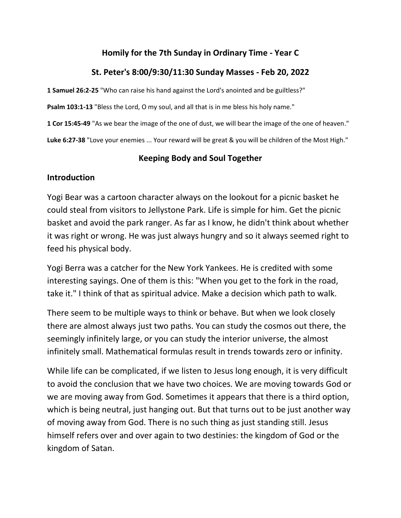# **Homily for the 7th Sunday in Ordinary Time - Year C**

## **St. Peter's 8:00/9:30/11:30 Sunday Masses - Feb 20, 2022**

**1 Samuel 26:2-25** "Who can raise his hand against the Lord's anointed and be guiltless?"

**Psalm 103:1-13** "Bless the Lord, O my soul, and all that is in me bless his holy name."

**1 Cor 15:45-49** "As we bear the image of the one of dust, we will bear the image of the one of heaven."

**Luke 6:27-38** "Love your enemies ... Your reward will be great & you will be children of the Most High."

#### **Keeping Body and Soul Together**

#### **Introduction**

Yogi Bear was a cartoon character always on the lookout for a picnic basket he could steal from visitors to Jellystone Park. Life is simple for him. Get the picnic basket and avoid the park ranger. As far as I know, he didn't think about whether it was right or wrong. He was just always hungry and so it always seemed right to feed his physical body.

Yogi Berra was a catcher for the New York Yankees. He is credited with some interesting sayings. One of them is this: "When you get to the fork in the road, take it." I think of that as spiritual advice. Make a decision which path to walk.

There seem to be multiple ways to think or behave. But when we look closely there are almost always just two paths. You can study the cosmos out there, the seemingly infinitely large, or you can study the interior universe, the almost infinitely small. Mathematical formulas result in trends towards zero or infinity.

While life can be complicated, if we listen to Jesus long enough, it is very difficult to avoid the conclusion that we have two choices. We are moving towards God or we are moving away from God. Sometimes it appears that there is a third option, which is being neutral, just hanging out. But that turns out to be just another way of moving away from God. There is no such thing as just standing still. Jesus himself refers over and over again to two destinies: the kingdom of God or the kingdom of Satan.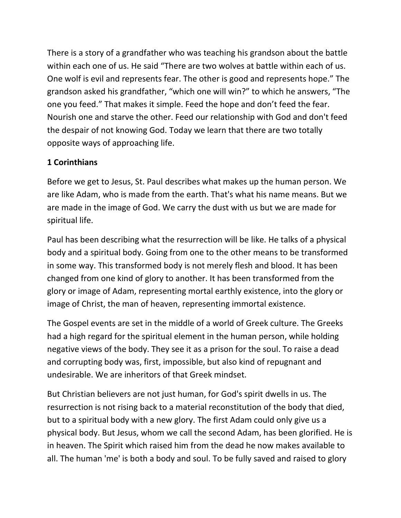There is a story of a grandfather who was teaching his grandson about the battle within each one of us. He said "There are two wolves at battle within each of us. One wolf is evil and represents fear. The other is good and represents hope." The grandson asked his grandfather, "which one will win?" to which he answers, "The one you feed." That makes it simple. Feed the hope and don't feed the fear. Nourish one and starve the other. Feed our relationship with God and don't feed the despair of not knowing God. Today we learn that there are two totally opposite ways of approaching life.

# **1 Corinthians**

Before we get to Jesus, St. Paul describes what makes up the human person. We are like Adam, who is made from the earth. That's what his name means. But we are made in the image of God. We carry the dust with us but we are made for spiritual life.

Paul has been describing what the resurrection will be like. He talks of a physical body and a spiritual body. Going from one to the other means to be transformed in some way. This transformed body is not merely flesh and blood. It has been changed from one kind of glory to another. It has been transformed from the glory or image of Adam, representing mortal earthly existence, into the glory or image of Christ, the man of heaven, representing immortal existence.

The Gospel events are set in the middle of a world of Greek culture. The Greeks had a high regard for the spiritual element in the human person, while holding negative views of the body. They see it as a prison for the soul. To raise a dead and corrupting body was, first, impossible, but also kind of repugnant and undesirable. We are inheritors of that Greek mindset.

But Christian believers are not just human, for God's spirit dwells in us. The resurrection is not rising back to a material reconstitution of the body that died, but to a spiritual body with a new glory. The first Adam could only give us a physical body. But Jesus, whom we call the second Adam, has been glorified. He is in heaven. The Spirit which raised him from the dead he now makes available to all. The human 'me' is both a body and soul. To be fully saved and raised to glory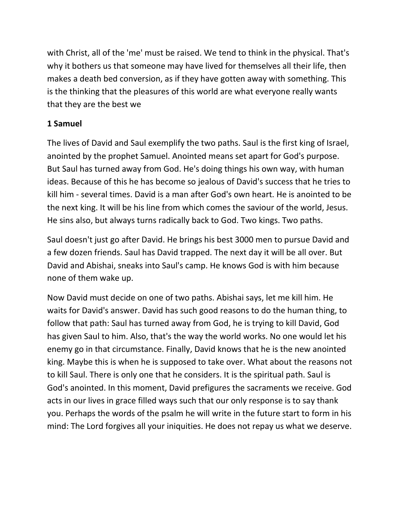with Christ, all of the 'me' must be raised. We tend to think in the physical. That's why it bothers us that someone may have lived for themselves all their life, then makes a death bed conversion, as if they have gotten away with something. This is the thinking that the pleasures of this world are what everyone really wants that they are the best we

# **1 Samuel**

The lives of David and Saul exemplify the two paths. Saul is the first king of Israel, anointed by the prophet Samuel. Anointed means set apart for God's purpose. But Saul has turned away from God. He's doing things his own way, with human ideas. Because of this he has become so jealous of David's success that he tries to kill him - several times. David is a man after God's own heart. He is anointed to be the next king. It will be his line from which comes the saviour of the world, Jesus. He sins also, but always turns radically back to God. Two kings. Two paths.

Saul doesn't just go after David. He brings his best 3000 men to pursue David and a few dozen friends. Saul has David trapped. The next day it will be all over. But David and Abishai, sneaks into Saul's camp. He knows God is with him because none of them wake up.

Now David must decide on one of two paths. Abishai says, let me kill him. He waits for David's answer. David has such good reasons to do the human thing, to follow that path: Saul has turned away from God, he is trying to kill David, God has given Saul to him. Also, that's the way the world works. No one would let his enemy go in that circumstance. Finally, David knows that he is the new anointed king. Maybe this is when he is supposed to take over. What about the reasons not to kill Saul. There is only one that he considers. It is the spiritual path. Saul is God's anointed. In this moment, David prefigures the sacraments we receive. God acts in our lives in grace filled ways such that our only response is to say thank you. Perhaps the words of the psalm he will write in the future start to form in his mind: The Lord forgives all your iniquities. He does not repay us what we deserve.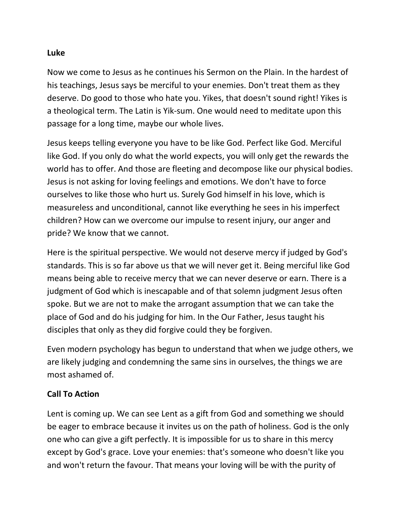### **Luke**

Now we come to Jesus as he continues his Sermon on the Plain. In the hardest of his teachings, Jesus says be merciful to your enemies. Don't treat them as they deserve. Do good to those who hate you. Yikes, that doesn't sound right! Yikes is a theological term. The Latin is Yik-sum. One would need to meditate upon this passage for a long time, maybe our whole lives.

Jesus keeps telling everyone you have to be like God. Perfect like God. Merciful like God. If you only do what the world expects, you will only get the rewards the world has to offer. And those are fleeting and decompose like our physical bodies. Jesus is not asking for loving feelings and emotions. We don't have to force ourselves to like those who hurt us. Surely God himself in his love, which is measureless and unconditional, cannot like everything he sees in his imperfect children? How can we overcome our impulse to resent injury, our anger and pride? We know that we cannot.

Here is the spiritual perspective. We would not deserve mercy if judged by God's standards. This is so far above us that we will never get it. Being merciful like God means being able to receive mercy that we can never deserve or earn. There is a judgment of God which is inescapable and of that solemn judgment Jesus often spoke. But we are not to make the arrogant assumption that we can take the place of God and do his judging for him. In the Our Father, Jesus taught his disciples that only as they did forgive could they be forgiven.

Even modern psychology has begun to understand that when we judge others, we are likely judging and condemning the same sins in ourselves, the things we are most ashamed of.

## **Call To Action**

Lent is coming up. We can see Lent as a gift from God and something we should be eager to embrace because it invites us on the path of holiness. God is the only one who can give a gift perfectly. It is impossible for us to share in this mercy except by God's grace. Love your enemies: that's someone who doesn't like you and won't return the favour. That means your loving will be with the purity of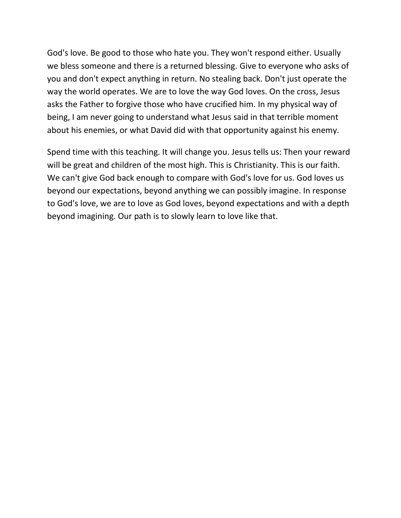God's love. Be good to those who hate you. They won't respond either. Usually we bless someone and there is a returned blessing. Give to everyone who asks of you and don't expect anything in return. No stealing back. Don't just operate the way the world operates. We are to love the way God loves. On the cross, Jesus asks the Father to forgive those who have crucified him. In my physical way of being, I am never going to understand what Jesus said in that terrible moment about his enemies, or what David did with that opportunity against his enemy.

Spend time with this teaching. It will change you. Jesus tells us: Then your reward will be great and children of the most high. This is Christianity. This is our faith. We can't give God back enough to compare with God's love for us. God loves us beyond our expectations, beyond anything we can possibly imagine. In response to God's love, we are to love as God loves, beyond expectations and with a depth beyond imagining. Our path is to slowly learn to love like that.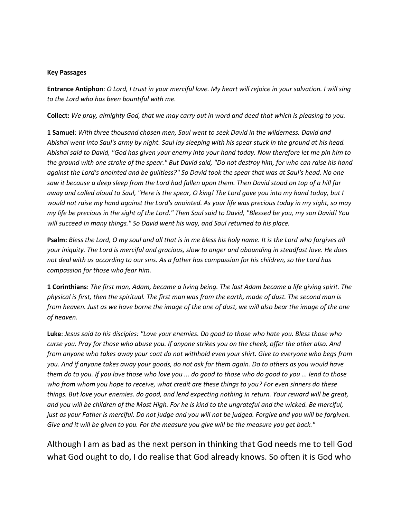#### **Key Passages**

**Entrance Antiphon**: *O Lord, I trust in your merciful love. My heart will rejoice in your salvation. I will sing to the Lord who has been bountiful with me.*

**Collect:** *We pray, almighty God, that we may carry out in word and deed that which is pleasing to you.*

**1 Samuel**: *With three thousand chosen men, Saul went to seek David in the wilderness. David and Abishai went into Saul's army by night. Saul lay sleeping with his spear stuck in the ground at his head. Abishai said to David, "God has given your enemy into your hand today. Now therefore let me pin him to the ground with one stroke of the spear." But David said, "Do not destroy him, for who can raise his hand against the Lord's anointed and be guiltless?" So David took the spear that was at Saul's head. No one saw it because a deep sleep from the Lord had fallen upon them. Then David stood on top of a hill far away and called aloud to Saul, "Here is the spear, O king! The Lord gave you into my hand today, but I would not raise my hand against the Lord's anointed. As your life was precious today in my sight, so may my life be precious in the sight of the Lord." Then Saul said to David, "Blessed be you, my son David! You will succeed in many things." So David went his way, and Saul returned to his place.*

**Psalm:** *Bless the Lord, O my soul and all that is in me bless his holy name. It is the Lord who forgives all your iniquity. The Lord is merciful and gracious, slow to anger and abounding in steadfast love. He does not deal with us according to our sins. As a father has compassion for his children, so the Lord has compassion for those who fear him.* 

**1 Corinthians**: *The first man, Adam, became a living being. The last Adam became a life giving spirit. The physical is first, then the spiritual. The first man was from the earth, made of dust. The second man is from heaven. Just as we have borne the image of the one of dust, we will also bear the image of the one of heaven.* 

**Luke**: *Jesus said to his disciples: "Love your enemies. Do good to those who hate you. Bless those who curse you. Pray for those who abuse you. If anyone strikes you on the cheek, offer the other also. And from anyone who takes away your coat do not withhold even your shirt. Give to everyone who begs from you. And if anyone takes away your goods, do not ask for them again. Do to others as you would have them do to you. If you love those who love you ... do good to those who do good to you ... lend to those who from whom you hope to receive, what credit are these things to you? For even sinners do these things. But love your enemies. do good, and lend expecting nothing in return. Your reward will be great, and you will be children of the Most High. For he is kind to the ungrateful and the wicked. Be merciful, just as your Father is merciful. Do not judge and you will not be judged. Forgive and you will be forgiven. Give and it will be given to you. For the measure you give will be the measure you get back."* 

Although I am as bad as the next person in thinking that God needs me to tell God what God ought to do, I do realise that God already knows. So often it is God who